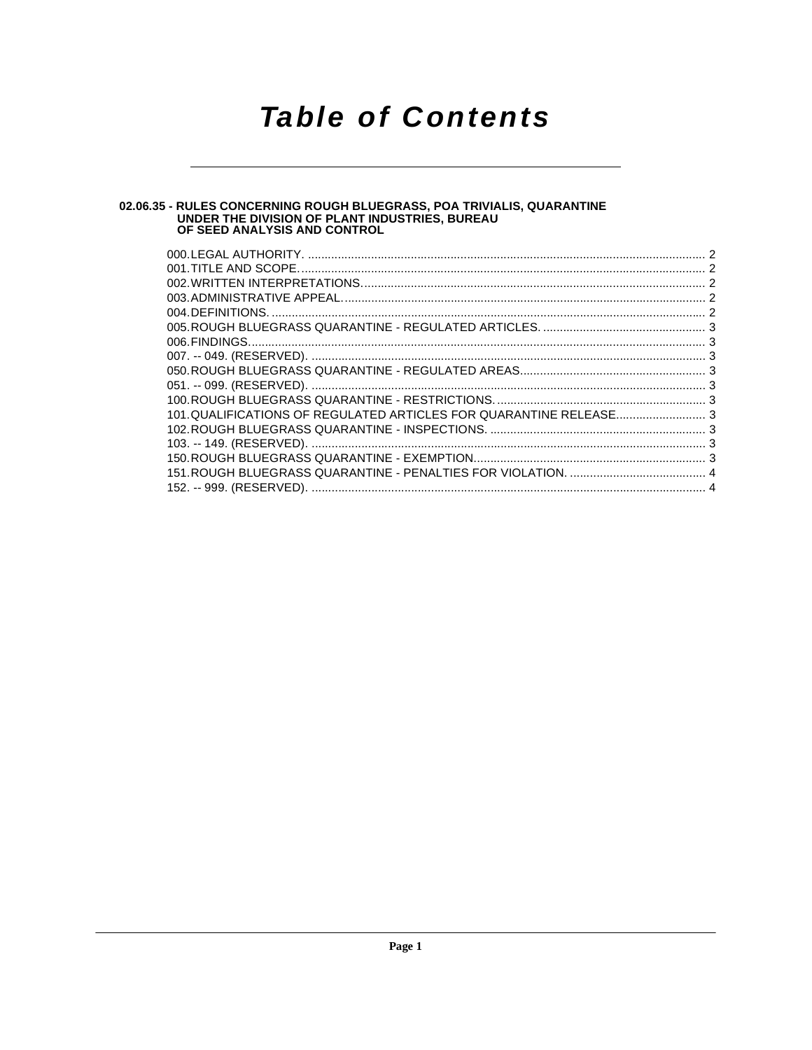## **Table of Contents**

# 02.06.35 - RULES CONCERNING ROUGH BLUEGRASS, POA TRIVIALIS, QUARANTINE<br>UNDER THE DIVISION OF PLANT INDUSTRIES, BUREAU<br>OF SEED ANALYSIS AND CONTROL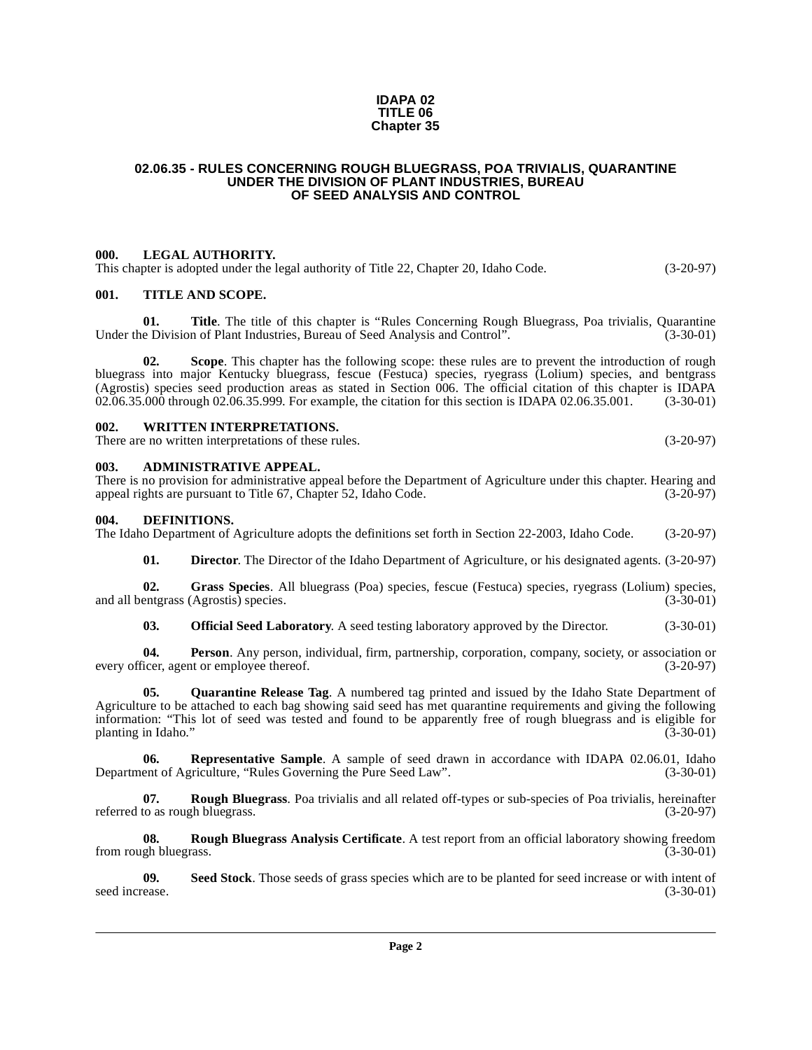#### **IDAPA 02 TITLE 06 Chapter 35**

#### <span id="page-1-0"></span>**02.06.35 - RULES CONCERNING ROUGH BLUEGRASS, POA TRIVIALIS, QUARANTINE UNDER THE DIVISION OF PLANT INDUSTRIES, BUREAU OF SEED ANALYSIS AND CONTROL**

#### <span id="page-1-1"></span>**000. LEGAL AUTHORITY.**

This chapter is adopted under the legal authority of Title 22, Chapter 20, Idaho Code. (3-20-97)

#### <span id="page-1-2"></span>**001. TITLE AND SCOPE.**

**01. Title**. The title of this chapter is "Rules Concerning Rough Bluegrass, Poa trivialis, Quarantine e Division of Plant Industries, Bureau of Seed Analysis and Control". (3-30-01) Under the Division of Plant Industries, Bureau of Seed Analysis and Control".

**02. Scope**. This chapter has the following scope: these rules are to prevent the introduction of rough bluegrass into major Kentucky bluegrass, fescue (Festuca) species, ryegrass (Lolium) species, and bentgrass (Agrostis) species seed production areas as stated in Section 006. The official citation of this chapter is IDAPA 02.06.35.000 through 02.06.35.999. For example, the citation for this section is IDAPA 02.06.35.001. (3-30-01)

#### <span id="page-1-3"></span>**002. WRITTEN INTERPRETATIONS.**

There are no written interpretations of these rules. (3-20-97)

#### <span id="page-1-4"></span>**003. ADMINISTRATIVE APPEAL.**

There is no provision for administrative appeal before the Department of Agriculture under this chapter. Hearing and appeal rights are pursuant to Title 67. Chapter 52. Idaho Code. (3-20-97) appeal rights are pursuant to Title 67, Chapter 52, Idaho Code.

#### <span id="page-1-6"></span><span id="page-1-5"></span>**004. DEFINITIONS.**

The Idaho Department of Agriculture adopts the definitions set forth in Section 22-2003, Idaho Code. (3-20-97)

<span id="page-1-7"></span>**01. Director**. The Director of the Idaho Department of Agriculture, or his designated agents. (3-20-97)

**02. Grass Species**. All bluegrass (Poa) species, fescue (Festuca) species, ryegrass (Lolium) species, and all bentgrass  $(Agrostis)$  species.

<span id="page-1-9"></span><span id="page-1-8"></span>**03. Official Seed Laboratory**. A seed testing laboratory approved by the Director. (3-30-01)

**04. Person**. Any person, individual, firm, partnership, corporation, company, society, or association or icer, agent or employee thereof. every officer, agent or employee thereof.

**Quarantine Release Tag.** A numbered tag printed and issued by the Idaho State Department of Agriculture to be attached to each bag showing said seed has met quarantine requirements and giving the following information: "This lot of seed was tested and found to be apparently free of rough bluegrass and is eligible for planting in Idaho."

<span id="page-1-10"></span>**06. Representative Sample**[. A sample of seed drawn in accordance with IDAPA 02.06.01, Idaho](http://www2.state.id.us/adm/adminrules/rules/idapa02/0601.pdf) [Department of Agriculture, "Rules Governing the Pure Seed Law". \(3-30-01\)](http://www2.state.id.us/adm/adminrules/rules/idapa02/0601.pdf)

<span id="page-1-11"></span>**07. Rough Bluegrass**. Poa trivialis and all related off-types or sub-species of Poa trivialis, hereinafter to as rough bluegrass. (3-20-97) referred to as rough bluegrass.

<span id="page-1-12"></span>**08. Rough Bluegrass Analysis Certificate**. A test report from an official laboratory showing freedom gh bluegrass. (3-30-01) from rough bluegrass.

**09. Seed Stock**. Those seeds of grass species which are to be planted for seed increase or with intent of seed increase. (3-30-01)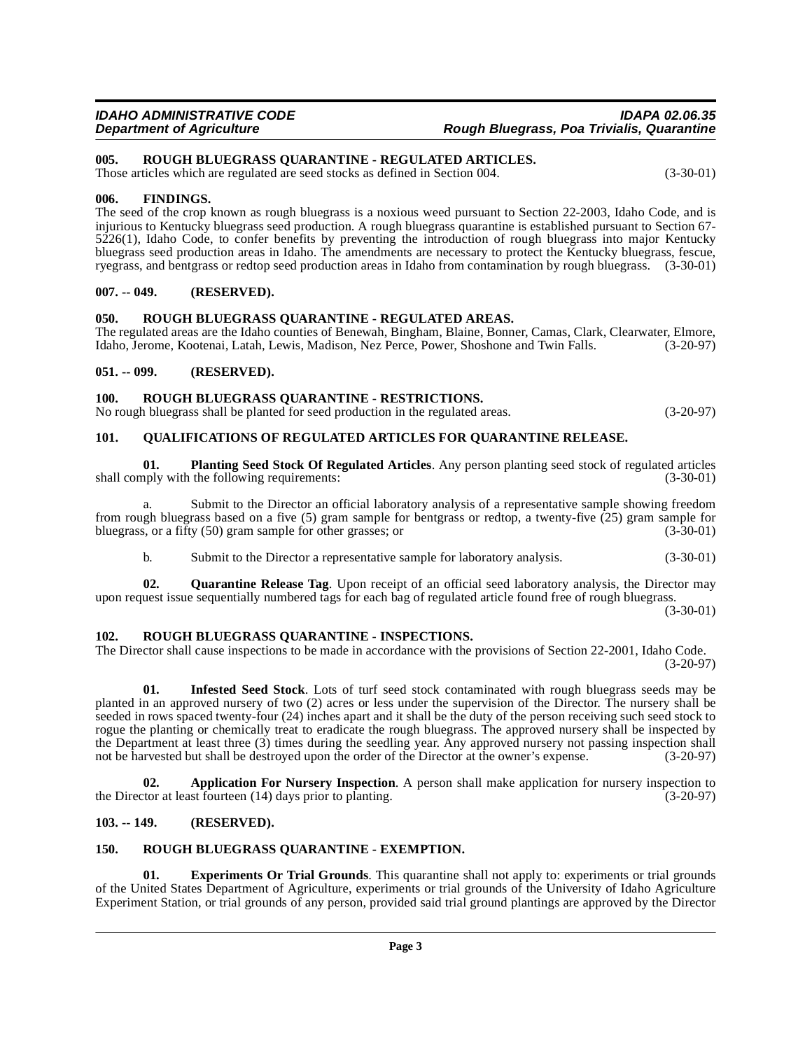#### <span id="page-2-19"></span><span id="page-2-0"></span>**005. ROUGH BLUEGRASS QUARANTINE - REGULATED ARTICLES.**

Those articles which are regulated are seed stocks as defined in Section 004. (3-30-01)

#### <span id="page-2-1"></span>**006. FINDINGS.**

The seed of the crop known as rough bluegrass is a noxious weed pursuant to Section 22-2003, Idaho Code, and is injurious to Kentucky bluegrass seed production. A rough bluegrass quarantine is established pursuant to Section 67- 5226(1), Idaho Code, to confer benefits by preventing the introduction of rough bluegrass into major Kentucky bluegrass seed production areas in Idaho. The amendments are necessary to protect the Kentucky bluegrass, fescue, ryegrass, and bentgrass or redtop seed production areas in Idaho from contamination by rough bluegrass. (3-30-01)

#### <span id="page-2-2"></span>**007. -- 049. (RESERVED).**

#### <span id="page-2-18"></span><span id="page-2-3"></span>**050. ROUGH BLUEGRASS QUARANTINE - REGULATED AREAS.**

The regulated areas are the Idaho counties of Benewah, Bingham, Blaine, Bonner, Camas, Clark, Clearwater, Elmore, Idaho, Jerome, Kootenai, Latah, Lewis, Madison, Nez Perce, Power, Shoshone and Twin Falls. (3-20-97)

#### <span id="page-2-4"></span>**051. -- 099. (RESERVED).**

#### <span id="page-2-20"></span><span id="page-2-5"></span>**100. ROUGH BLUEGRASS QUARANTINE - RESTRICTIONS.**

No rough bluegrass shall be planted for seed production in the regulated areas. (3-20-97)

### <span id="page-2-14"></span><span id="page-2-6"></span>**101. QUALIFICATIONS OF REGULATED ARTICLES FOR QUARANTINE RELEASE.**

<span id="page-2-13"></span>**01. Planting Seed Stock Of Regulated Articles**. Any person planting seed stock of regulated articles shall comply with the following requirements: (3-30-01)

a. Submit to the Director an official laboratory analysis of a representative sample showing freedom from rough bluegrass based on a five (5) gram sample for bentgrass or redtop, a twenty-five (25) gram sample for bluegrass, or a fifty (50) gram sample for other grasses; or (3-30-01)

<span id="page-2-15"></span>b. Submit to the Director a representative sample for laboratory analysis. (3-30-01)

**02. Quarantine Release Tag**. Upon receipt of an official seed laboratory analysis, the Director may upon request issue sequentially numbered tags for each bag of regulated article found free of rough bluegrass. (3-30-01)

#### <span id="page-2-17"></span><span id="page-2-7"></span>**102. ROUGH BLUEGRASS QUARANTINE - INSPECTIONS.**

The Director shall cause inspections to be made in accordance with the provisions of Section 22-2001, Idaho Code. (3-20-97)

<span id="page-2-12"></span>**01. Infested Seed Stock**. Lots of turf seed stock contaminated with rough bluegrass seeds may be planted in an approved nursery of two (2) acres or less under the supervision of the Director. The nursery shall be seeded in rows spaced twenty-four (24) inches apart and it shall be the duty of the person receiving such seed stock to rogue the planting or chemically treat to eradicate the rough bluegrass. The approved nursery shall be inspected by the Department at least three  $(3)$  times during the seedling year. Any approved nursery not passing inspection shall<br>not be harvested but shall be destroved upon the order of the Director at the owner's expense.  $(3-20-9$ not be harvested but shall be destroyed upon the order of the Director at the owner's expense.

<span id="page-2-10"></span>**02. Application For Nursery Inspection**. A person shall make application for nursery inspection to the Director at least fourteen (14) days prior to planting. (3-20-97)

#### <span id="page-2-8"></span>**103. -- 149. (RESERVED).**

#### <span id="page-2-16"></span><span id="page-2-9"></span>**150. ROUGH BLUEGRASS QUARANTINE - EXEMPTION.**

<span id="page-2-11"></span>**01. Experiments Or Trial Grounds**. This quarantine shall not apply to: experiments or trial grounds of the United States Department of Agriculture, experiments or trial grounds of the University of Idaho Agriculture Experiment Station, or trial grounds of any person, provided said trial ground plantings are approved by the Director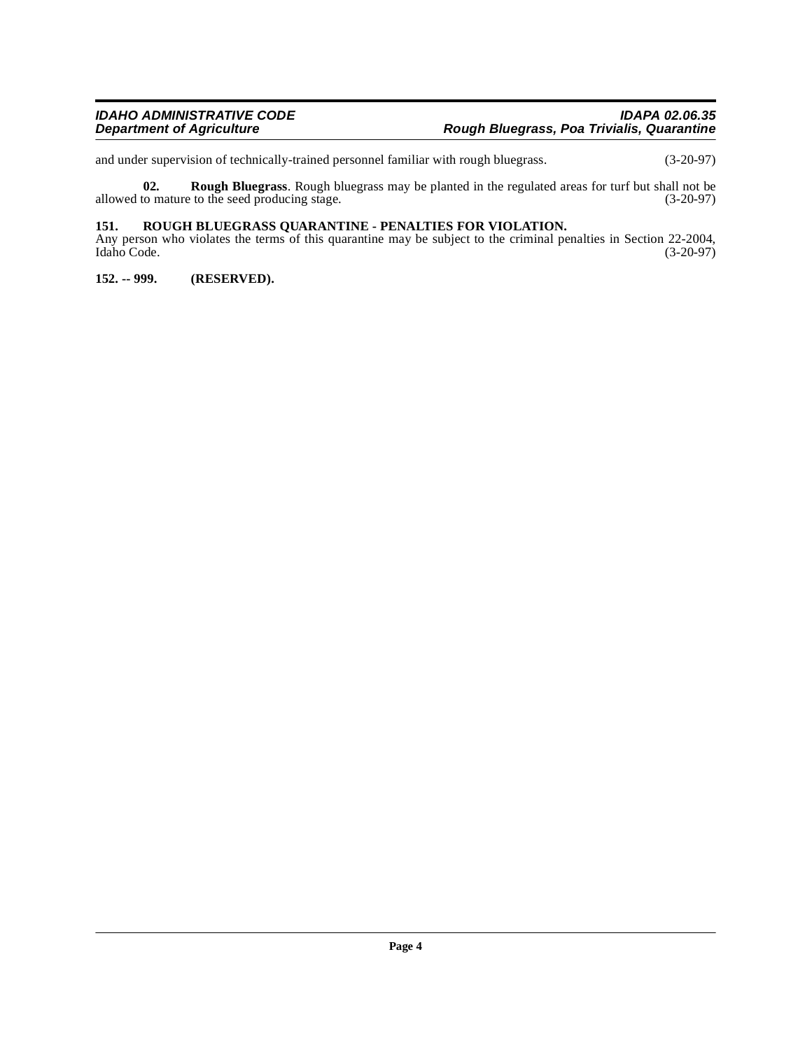and under supervision of technically-trained personnel familiar with rough bluegrass. (3-20-97)

<span id="page-3-3"></span>**02. Rough Bluegrass**. Rough bluegrass may be planted in the regulated areas for turf but shall not be to mature to the seed producing stage. (3-20-97) allowed to mature to the seed producing stage.

#### <span id="page-3-2"></span><span id="page-3-0"></span>**151. ROUGH BLUEGRASS QUARANTINE - PENALTIES FOR VIOLATION.**

Any person who violates the terms of this quarantine may be subject to the criminal penalties in Section 22-2004, Idaho Code. (3-20-97) Idaho Code. (3-20-97)

<span id="page-3-1"></span>**152. -- 999. (RESERVED).**